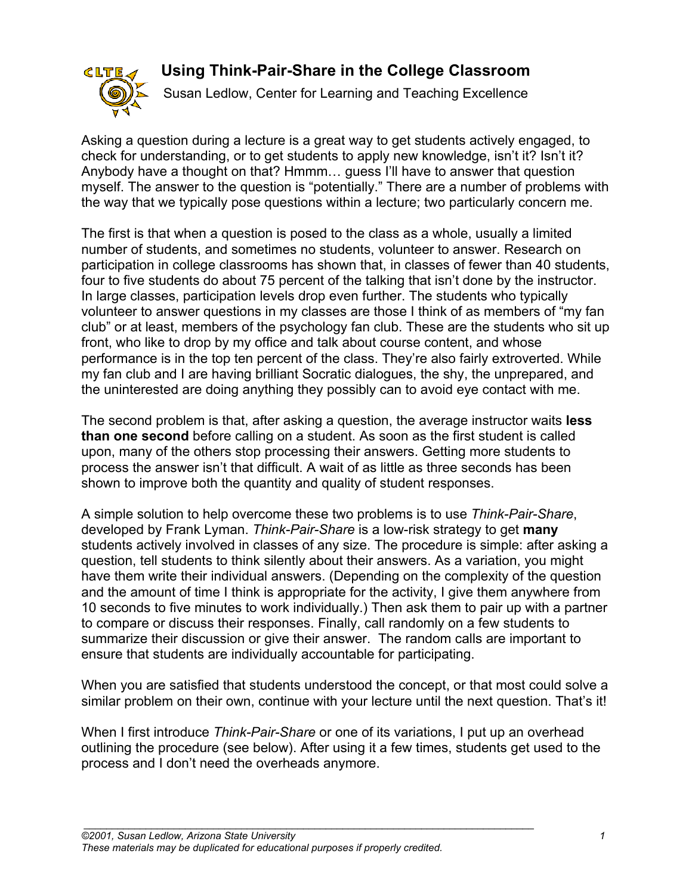# **Using Think-Pair-Share in the College Classroom**



Susan Ledlow, Center for Learning and Teaching Excellence

Asking a question during a lecture is a great way to get students actively engaged, to check for understanding, or to get students to apply new knowledge, isn't it? Isn't it? Anybody have a thought on that? Hmmm… guess I'll have to answer that question myself. The answer to the question is "potentially." There are a number of problems with the way that we typically pose questions within a lecture; two particularly concern me.

The first is that when a question is posed to the class as a whole, usually a limited number of students, and sometimes no students, volunteer to answer. Research on participation in college classrooms has shown that, in classes of fewer than 40 students, four to five students do about 75 percent of the talking that isn't done by the instructor. In large classes, participation levels drop even further. The students who typically volunteer to answer questions in my classes are those I think of as members of "my fan club" or at least, members of the psychology fan club. These are the students who sit up front, who like to drop by my office and talk about course content, and whose performance is in the top ten percent of the class. They're also fairly extroverted. While my fan club and I are having brilliant Socratic dialogues, the shy, the unprepared, and the uninterested are doing anything they possibly can to avoid eye contact with me.

The second problem is that, after asking a question, the average instructor waits **less than one second** before calling on a student. As soon as the first student is called upon, many of the others stop processing their answers. Getting more students to process the answer isn't that difficult. A wait of as little as three seconds has been shown to improve both the quantity and quality of student responses.

A simple solution to help overcome these two problems is to use *Think-Pair-Share*, developed by Frank Lyman. *Think-Pair-Share* is a low-risk strategy to get **many** students actively involved in classes of any size. The procedure is simple: after asking a question, tell students to think silently about their answers. As a variation, you might have them write their individual answers. (Depending on the complexity of the question and the amount of time I think is appropriate for the activity, I give them anywhere from 10 seconds to five minutes to work individually.) Then ask them to pair up with a partner to compare or discuss their responses. Finally, call randomly on a few students to summarize their discussion or give their answer. The random calls are important to ensure that students are individually accountable for participating.

When you are satisfied that students understood the concept, or that most could solve a similar problem on their own, continue with your lecture until the next question. That's it!

When I first introduce *Think-Pair-Share* or one of its variations, I put up an overhead outlining the procedure (see below). After using it a few times, students get used to the process and I don't need the overheads anymore.

*\_\_\_\_\_\_\_\_\_\_\_\_\_\_\_\_\_\_\_\_\_\_\_\_\_\_\_\_\_\_\_\_\_\_\_\_\_\_\_\_\_\_\_\_\_\_\_\_\_\_\_\_\_\_\_\_\_\_\_\_\_\_\_\_\_\_\_\_\_\_\_\_\_\_\_\_\_\_\_\_*